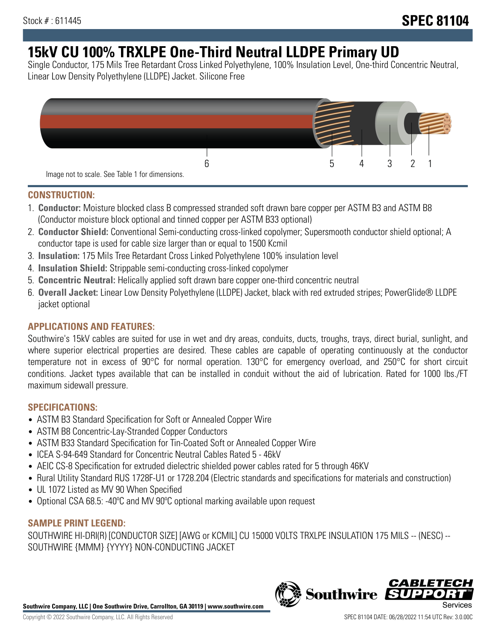# **15kV CU 100% TRXLPE One-Third Neutral LLDPE Primary UD**

Single Conductor, 175 Mils Tree Retardant Cross Linked Polyethylene, 100% Insulation Level, One-third Concentric Neutral, Linear Low Density Polyethylene (LLDPE) Jacket. Silicone Free



### **CONSTRUCTION:**

- 1. **Conductor:** Moisture blocked class B compressed stranded soft drawn bare copper per ASTM B3 and ASTM B8 (Conductor moisture block optional and tinned copper per ASTM B33 optional)
- 2. **Conductor Shield:** Conventional Semi-conducting cross-linked copolymer; Supersmooth conductor shield optional; A conductor tape is used for cable size larger than or equal to 1500 Kcmil
- 3. **Insulation:** 175 Mils Tree Retardant Cross Linked Polyethylene 100% insulation level
- 4. **Insulation Shield:** Strippable semi-conducting cross-linked copolymer
- 5. **Concentric Neutral:** Helically applied soft drawn bare copper one-third concentric neutral
- 6. **Overall Jacket:** Linear Low Density Polyethylene (LLDPE) Jacket, black with red extruded stripes; PowerGlide® LLDPE jacket optional

# **APPLICATIONS AND FEATURES:**

Southwire's 15kV cables are suited for use in wet and dry areas, conduits, ducts, troughs, trays, direct burial, sunlight, and where superior electrical properties are desired. These cables are capable of operating continuously at the conductor temperature not in excess of 90°C for normal operation. 130°C for emergency overload, and 250°C for short circuit conditions. Jacket types available that can be installed in conduit without the aid of lubrication. Rated for 1000 lbs./FT maximum sidewall pressure.

# **SPECIFICATIONS:**

- ASTM B3 Standard Specification for Soft or Annealed Copper Wire
- ASTM B8 Concentric-Lay-Stranded Copper Conductors
- ASTM B33 Standard Specification for Tin-Coated Soft or Annealed Copper Wire
- ICEA S-94-649 Standard for Concentric Neutral Cables Rated 5 46kV
- AEIC CS-8 Specification for extruded dielectric shielded power cables rated for 5 through 46KV
- Rural Utility Standard RUS 1728F-U1 or 1728.204 (Electric standards and specifications for materials and construction)
- UL 1072 Listed as MV 90 When Specified
- Optional CSA 68.5: -40ºC and MV 90ºC optional marking available upon request

# **SAMPLE PRINT LEGEND:**

SOUTHWIRE HI-DRI(R) [CONDUCTOR SIZE] [AWG or KCMIL] CU 15000 VOLTS TRXLPE INSULATION 175 MILS -- (NESC) -- SOUTHWIRE {MMM} {YYYY} NON-CONDUCTING JACKET

**Southwire Company, LLC | One Southwire Drive, Carrollton, GA 30119 | www.southwire.com**

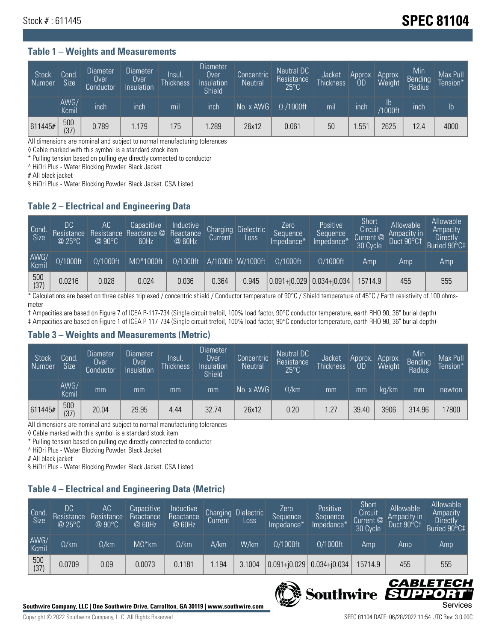# **Stock # : 611445** Stock **# : 611445**

#### **Table 1 – Weights and Measurements**

| Stock<br>Number | Cond.<br><b>Size</b> | <b>Diameter</b><br>Over<br>Conductor | <b>Diameter</b><br>Over<br>Insulation | Insul.<br><b>Thickness</b> | <b>Diameter</b><br>Over<br>Insulation<br><b>Shield</b> | Concentric<br><b>Neutral</b> | Neutral DC<br>Resistance<br>$25^{\circ}$ C | Jacket<br><b>Thickness</b> | Approx.<br><b>OD</b> | Approx.<br><b>Weight</b> | Min<br><b>Bending</b><br>Radius | Max Pull<br>Tension* |
|-----------------|----------------------|--------------------------------------|---------------------------------------|----------------------------|--------------------------------------------------------|------------------------------|--------------------------------------------|----------------------------|----------------------|--------------------------|---------------------------------|----------------------|
|                 | AWG/<br>Kcmil        | inch                                 | inch                                  | mil                        | inch                                                   | No. x AWG                    | $\Omega$ /1000ft                           | mil                        | inch                 | Ib<br><b>Y1000ft</b>     | inch                            | $\mathsf{lb}$        |
| 611445#         | 500<br>(37)          | 0.789                                | 1.179                                 | 175                        | .289                                                   | 26x12                        | 0.061                                      | 50                         | .55 <sup>1</sup>     | 2625                     | 12.4                            | 4000                 |

All dimensions are nominal and subject to normal manufacturing tolerances

◊ Cable marked with this symbol is a standard stock item

\* Pulling tension based on pulling eye directly connected to conductor

^ HiDri Plus - Water Blocking Powder. Black Jacket

# All black jacket

§ HiDri Plus - Water Blocking Powder. Black Jacket. CSA Listed

### **Table 2 – Electrical and Engineering Data**

| Cond<br>Size  | DC<br>Resistance<br>@25°C | АC<br>$@90^{\circ}C$ | Capacitive<br>Resistance Reactance @<br>60Hz | Inductive<br>Reactance<br>@ 60Hz | <b>Charging</b><br>Current | <b>Dielectric</b><br>Loss | Zero<br>Sequence<br>Impedance* | Positive<br>Sequence<br>Impedance <sup>*</sup> | Short<br>Circuit<br>Current @<br>30 Cycle | Allowable<br>Ampacity in<br>Duct 90°C+ | Allowable<br>Ampacity<br><b>Directly</b><br>Buried 90°C‡ |
|---------------|---------------------------|----------------------|----------------------------------------------|----------------------------------|----------------------------|---------------------------|--------------------------------|------------------------------------------------|-------------------------------------------|----------------------------------------|----------------------------------------------------------|
| AWG/<br>Kcmil | $\Omega/1000$ ft          | $\Omega/1000$ ft     | $M\Omega^*1000$ ft                           | $\Omega/1000$ ft                 |                            | A/1000ft W/1000ft         | $O/1000$ ft                    | $\Omega$ /1000ft                               | Amp                                       | Amp                                    | Amp                                                      |
| 500<br>(37)   | 0.0216                    | 0.028                | 0.024                                        | 0.036                            | 0.364                      | 0.945                     |                                | $0.091 + 0.029$ 0.034+ $0.034$                 | 15714.9                                   | 455                                    | 555                                                      |

\* Calculations are based on three cables triplexed / concentric shield / Conductor temperature of 90°C / Shield temperature of 45°C / Earth resistivity of 100 ohmsmeter

† Ampacities are based on Figure 7 of ICEA P-117-734 (Single circuit trefoil, 100% load factor, 90°C conductor temperature, earth RHO 90, 36" burial depth) ‡ Ampacities are based on Figure 1 of ICEA P-117-734 (Single circuit trefoil, 100% load factor, 90°C conductor temperature, earth RHO 90, 36" burial depth)

### **Table 3 – Weights and Measurements (Metric)**

| Stock<br>Number | Cond.<br><b>Size</b> | <b>Diameter</b><br>Over<br>Conductor | Diameter<br>Over<br>Insulation | Insul.<br><b>Thickness</b> | <b>Diameter</b><br>Over<br>Insulation<br><b>Shield</b> | Concentric<br><b>Neutral</b> | Neutral DC<br>Resistance<br>$25^{\circ}$ C | Jacket<br><b>Thickness</b> | Approx.<br>0D | Approx.<br>Weight | Min<br>Bending | Max Pull<br>Tension* |
|-----------------|----------------------|--------------------------------------|--------------------------------|----------------------------|--------------------------------------------------------|------------------------------|--------------------------------------------|----------------------------|---------------|-------------------|----------------|----------------------|
|                 | AWG/<br>Kcmil        | mm                                   | mm                             | mm                         | mm                                                     | No. x AWG                    | $\Omega$ /km                               | mm                         | mm            | ka/km             | mm             | newton               |
| 611445#         | 500<br>(37)          | 20.04                                | 29.95                          | 4.44                       | 32.74                                                  | 26x12                        | 0.20                                       | 1.27                       | 39.40         | 3906              | 314.96         | 17800                |

All dimensions are nominal and subject to normal manufacturing tolerances

◊ Cable marked with this symbol is a standard stock item

\* Pulling tension based on pulling eye directly connected to conductor

^ HiDri Plus - Water Blocking Powder. Black Jacket

# All black jacket

§ HiDri Plus - Water Blocking Powder. Black Jacket. CSA Listed

# **Table 4 – Electrical and Engineering Data (Metric)**

| Cond<br>Size  | DC<br>Resistance<br>@25°C | АC<br>Resistance<br>@90°C | Capacitive<br>Reactance<br>@ 60Hz | Inductive<br>Reactance<br>@ 60Hz | Charging<br><b>Current</b> | <b>Dielectric</b><br>Loss. | Zero<br>Sequence<br>Impedance* | Positive<br>Sequence<br>Impedance* | Short<br>Circuit<br>Current @<br>30 Cycle | Allowable<br>Ampacity in<br>Duct 90°Ct | Allowable<br>Ampacity<br>Directly<br>Buried 90°C‡ |
|---------------|---------------------------|---------------------------|-----------------------------------|----------------------------------|----------------------------|----------------------------|--------------------------------|------------------------------------|-------------------------------------------|----------------------------------------|---------------------------------------------------|
| AWG/<br>Kcmil | $\Omega$ /km              | $\Omega$ /km              | $M\Omega^*$ km                    | $\Omega$ /km                     | A/km                       | W/km                       | $\Omega/1000$ ft               | $\Omega/1000$ ft                   | Amp                                       | Amp                                    | Amp                                               |
| 500<br>(37)   | 0.0709                    | 0.09                      | 0.0073                            | 0.1181                           | .194                       | 3.1004                     | $0.091 + 0.029$                | $ 0.034 + i0.034 $                 | 15714.9                                   | 455                                    | 555                                               |



IS

**Southwire** 

CABLE

UPPOR